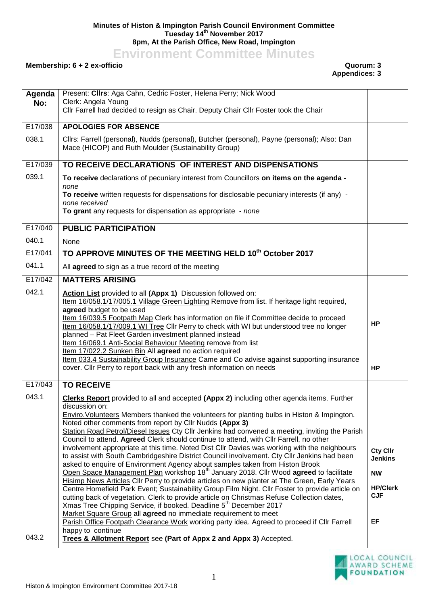## **Minutes of Histon & Impington Parish Council Environment Committee Tuesday 14th November 2017 8pm, At the Parish Office, New Road, Impington**

**Environment Committee Minutes**

## **Membership: 6 + 2 ex-officio Quorum: 3**

**Appendices: 3**

| Agenda<br>No: | Present: Clirs: Aga Cahn, Cedric Foster, Helena Perry; Nick Wood<br>Clerk: Angela Young<br>Cllr Farrell had decided to resign as Chair. Deputy Chair Cllr Foster took the Chair                                                                                                                                                                                                                                                                                                                                                                                                                                                                                                                                                                                                                                                                                                                                                                                                                                                                                                                                                                                                                                                                                                                                                                                                                                  |                                                                                |
|---------------|------------------------------------------------------------------------------------------------------------------------------------------------------------------------------------------------------------------------------------------------------------------------------------------------------------------------------------------------------------------------------------------------------------------------------------------------------------------------------------------------------------------------------------------------------------------------------------------------------------------------------------------------------------------------------------------------------------------------------------------------------------------------------------------------------------------------------------------------------------------------------------------------------------------------------------------------------------------------------------------------------------------------------------------------------------------------------------------------------------------------------------------------------------------------------------------------------------------------------------------------------------------------------------------------------------------------------------------------------------------------------------------------------------------|--------------------------------------------------------------------------------|
| E17/038       | <b>APOLOGIES FOR ABSENCE</b>                                                                                                                                                                                                                                                                                                                                                                                                                                                                                                                                                                                                                                                                                                                                                                                                                                                                                                                                                                                                                                                                                                                                                                                                                                                                                                                                                                                     |                                                                                |
| 038.1         | Cllrs: Farrell (personal), Nudds (personal), Butcher (personal), Payne (personal); Also: Dan<br>Mace (HICOP) and Ruth Moulder (Sustainability Group)                                                                                                                                                                                                                                                                                                                                                                                                                                                                                                                                                                                                                                                                                                                                                                                                                                                                                                                                                                                                                                                                                                                                                                                                                                                             |                                                                                |
| E17/039       | TO RECEIVE DECLARATIONS OF INTEREST AND DISPENSATIONS                                                                                                                                                                                                                                                                                                                                                                                                                                                                                                                                                                                                                                                                                                                                                                                                                                                                                                                                                                                                                                                                                                                                                                                                                                                                                                                                                            |                                                                                |
| 039.1         | To receive declarations of pecuniary interest from Councillors on items on the agenda -<br>none<br>To receive written requests for dispensations for disclosable pecuniary interests (if any) -<br>none received<br>To grant any requests for dispensation as appropriate - none                                                                                                                                                                                                                                                                                                                                                                                                                                                                                                                                                                                                                                                                                                                                                                                                                                                                                                                                                                                                                                                                                                                                 |                                                                                |
| E17/040       | <b>PUBLIC PARTICIPATION</b>                                                                                                                                                                                                                                                                                                                                                                                                                                                                                                                                                                                                                                                                                                                                                                                                                                                                                                                                                                                                                                                                                                                                                                                                                                                                                                                                                                                      |                                                                                |
| 040.1         | None                                                                                                                                                                                                                                                                                                                                                                                                                                                                                                                                                                                                                                                                                                                                                                                                                                                                                                                                                                                                                                                                                                                                                                                                                                                                                                                                                                                                             |                                                                                |
| E17/041       | TO APPROVE MINUTES OF THE MEETING HELD 10 <sup>th</sup> October 2017                                                                                                                                                                                                                                                                                                                                                                                                                                                                                                                                                                                                                                                                                                                                                                                                                                                                                                                                                                                                                                                                                                                                                                                                                                                                                                                                             |                                                                                |
| 041.1         | All agreed to sign as a true record of the meeting                                                                                                                                                                                                                                                                                                                                                                                                                                                                                                                                                                                                                                                                                                                                                                                                                                                                                                                                                                                                                                                                                                                                                                                                                                                                                                                                                               |                                                                                |
| E17/042       | <b>MATTERS ARISING</b>                                                                                                                                                                                                                                                                                                                                                                                                                                                                                                                                                                                                                                                                                                                                                                                                                                                                                                                                                                                                                                                                                                                                                                                                                                                                                                                                                                                           |                                                                                |
| 042.1         | Action List provided to all (Appx 1) Discussion followed on:<br>Item 16/058.1/17/005.1 Village Green Lighting Remove from list. If heritage light required,<br>agreed budget to be used<br>Item 16/039.5 Footpath Map Clerk has information on file if Committee decide to proceed<br>Item 16/058.1/17/009.1 WI Tree Cllr Perry to check with WI but understood tree no longer<br>planned - Pat Fleet Garden investment planned instead<br>Item 16/069.1 Anti-Social Behaviour Meeting remove from list<br>Item 17/022.2 Sunken Bin All agreed no action required<br>Item 033.4 Sustainability Group Insurance Came and Co advise against supporting insurance<br>cover. Cllr Perry to report back with any fresh information on needs                                                                                                                                                                                                                                                                                                                                                                                                                                                                                                                                                                                                                                                                           | <b>HP</b><br><b>HP</b>                                                         |
| E17/043       | <b>TO RECEIVE</b>                                                                                                                                                                                                                                                                                                                                                                                                                                                                                                                                                                                                                                                                                                                                                                                                                                                                                                                                                                                                                                                                                                                                                                                                                                                                                                                                                                                                |                                                                                |
| 043.1         | <b>Clerks Report</b> provided to all and accepted (Appx 2) including other agenda items. Further<br>discussion on:<br>Enviro. Volunteers Members thanked the volunteers for planting bulbs in Histon & Impington.<br>Noted other comments from report by Cllr Nudds (Appx 3)<br>Station Road Petrol/Diesel Issues Cty Cllr Jenkins had convened a meeting, inviting the Parish<br>Council to attend. Agreed Clerk should continue to attend, with Cllr Farrell, no other<br>involvement appropriate at this time. Noted Dist Cllr Davies was working with the neighbours<br>to assist with South Cambridgeshire District Council involvement. Cty Cllr Jenkins had been<br>asked to enquire of Environment Agency about samples taken from Histon Brook<br>Open Space Management Plan workshop 18 <sup>th</sup> January 2018. Cllr Wood agreed to facilitate<br>Hisimp News Articles Cllr Perry to provide articles on new planter at The Green, Early Years<br>Centre Homefield Park Event; Sustainability Group Film Night. Cllr Foster to provide article on<br>cutting back of vegetation. Clerk to provide article on Christmas Refuse Collection dates,<br>Xmas Tree Chipping Service, if booked. Deadline 5 <sup>th</sup> December 2017<br>Market Square Group all agreed no immediate requirement to meet<br>Parish Office Footpath Clearance Work working party idea. Agreed to proceed if Cllr Farrell | Cty Cllr<br><b>Jenkins</b><br><b>NW</b><br><b>HP/Clerk</b><br><b>CJF</b><br>EF |
| 043.2         | happy to continue<br>Trees & Allotment Report see (Part of Appx 2 and Appx 3) Accepted.                                                                                                                                                                                                                                                                                                                                                                                                                                                                                                                                                                                                                                                                                                                                                                                                                                                                                                                                                                                                                                                                                                                                                                                                                                                                                                                          |                                                                                |

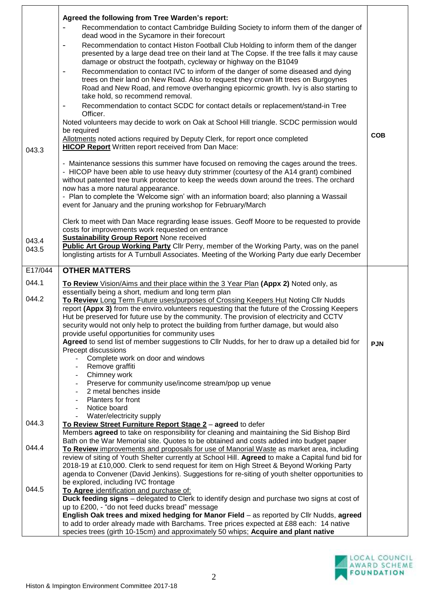|         | Agreed the following from Tree Warden's report:                                                                                                                                     |            |
|---------|-------------------------------------------------------------------------------------------------------------------------------------------------------------------------------------|------------|
|         | Recommendation to contact Cambridge Building Society to inform them of the danger of                                                                                                |            |
|         | dead wood in the Sycamore in their forecourt                                                                                                                                        |            |
|         | Recommendation to contact Histon Football Club Holding to inform them of the danger<br>-                                                                                            |            |
|         | presented by a large dead tree on their land at The Copse. If the tree falls it may cause                                                                                           |            |
|         | damage or obstruct the footpath, cycleway or highway on the B1049                                                                                                                   |            |
|         | Recommendation to contact IVC to inform of the danger of some diseased and dying<br>$\qquad \qquad \blacksquare$                                                                    |            |
|         | trees on their land on New Road. Also to request they crown lift trees on Burgoynes                                                                                                 |            |
|         | Road and New Road, and remove overhanging epicormic growth. Ivy is also starting to                                                                                                 |            |
|         | take hold, so recommend removal.                                                                                                                                                    |            |
|         | Recommendation to contact SCDC for contact details or replacement/stand-in Tree<br>-                                                                                                |            |
|         | Officer.                                                                                                                                                                            |            |
|         | Noted volunteers may decide to work on Oak at School Hill triangle. SCDC permission would<br>be required                                                                            |            |
|         | Allotments noted actions required by Deputy Clerk, for report once completed                                                                                                        | <b>COB</b> |
|         | <b>HICOP Report</b> Written report received from Dan Mace:                                                                                                                          |            |
| 043.3   |                                                                                                                                                                                     |            |
|         | - Maintenance sessions this summer have focused on removing the cages around the trees.                                                                                             |            |
|         | - HICOP have been able to use heavy duty strimmer (courtesy of the A14 grant) combined                                                                                              |            |
|         | without patented tree trunk protector to keep the weeds down around the trees. The orchard                                                                                          |            |
|         | now has a more natural appearance.                                                                                                                                                  |            |
|         | - Plan to complete the 'Welcome sign' with an information board; also planning a Wassail                                                                                            |            |
|         | event for January and the pruning workshop for February/March                                                                                                                       |            |
|         | Clerk to meet with Dan Mace regrarding lease issues. Geoff Moore to be requested to provide                                                                                         |            |
|         | costs for improvements work requested on entrance                                                                                                                                   |            |
|         | <b>Sustainability Group Report None received</b>                                                                                                                                    |            |
| 043.4   | Public Art Group Working Party Cllr Perry, member of the Working Party, was on the panel                                                                                            |            |
| 043.5   | longlisting artists for A Turnbull Associates. Meeting of the Working Party due early December                                                                                      |            |
|         |                                                                                                                                                                                     |            |
| E17/044 | <b>OTHER MATTERS</b>                                                                                                                                                                |            |
| 044.1   | To Review Vision/Aims and their place within the 3 Year Plan (Appx 2) Noted only, as                                                                                                |            |
|         | essentially being a short, medium and long term plan                                                                                                                                |            |
| 044.2   | To Review Long Term Future uses/purposes of Crossing Keepers Hut Noting Cllr Nudds                                                                                                  |            |
|         | report (Appx 3) from the enviro.volunteers requesting that the future of the Crossing Keepers                                                                                       |            |
|         | Hut be preserved for future use by the community. The provision of electricity and CCTV                                                                                             |            |
|         | security would not only help to protect the building from further damage, but would also                                                                                            |            |
|         | provide useful opportunities for community uses                                                                                                                                     |            |
|         | Agreed to send list of member suggestions to Cllr Nudds, for her to draw up a detailed bid for<br>Precept discussions                                                               | <b>PJN</b> |
|         | Complete work on door and windows                                                                                                                                                   |            |
|         | Remove graffiti                                                                                                                                                                     |            |
|         | Chimney work                                                                                                                                                                        |            |
|         | Preserve for community use/income stream/pop up venue                                                                                                                               |            |
|         | 2 metal benches inside                                                                                                                                                              |            |
|         | <b>Planters for front</b>                                                                                                                                                           |            |
|         | Notice board                                                                                                                                                                        |            |
|         | Water/electricity supply                                                                                                                                                            |            |
| 044.3   | To Review Street Furniture Report Stage 2 - agreed to defer                                                                                                                         |            |
|         | Members agreed to take on responsibility for cleaning and maintaining the Sid Bishop Bird<br>Bath on the War Memorial site. Quotes to be obtained and costs added into budget paper |            |
| 044.4   | To Review improvements and proposals for use of Manorial Waste as market area, including                                                                                            |            |
|         | review of siting of Youth Shelter currently at School Hill. Agreed to make a Capital fund bid for                                                                                   |            |
|         | 2018-19 at £10,000. Clerk to send request for item on High Street & Beyond Working Party                                                                                            |            |
|         | agenda to Convener (David Jenkins). Suggestions for re-siting of youth shelter opportunities to                                                                                     |            |
|         | be explored, including IVC frontage                                                                                                                                                 |            |
| 044.5   | To Agree identification and purchase of:                                                                                                                                            |            |
|         | Duck feeding signs - delegated to Clerk to identify design and purchase two signs at cost of                                                                                        |            |
|         | up to £200, - "do not feed ducks bread" message                                                                                                                                     |            |
|         | English Oak trees and mixed hedging for Manor Field - as reported by Cllr Nudds, agreed                                                                                             |            |
|         | to add to order already made with Barchams. Tree prices expected at £88 each: 14 native                                                                                             |            |
|         | species trees (girth 10-15cm) and approximately 50 whips; Acquire and plant native                                                                                                  |            |